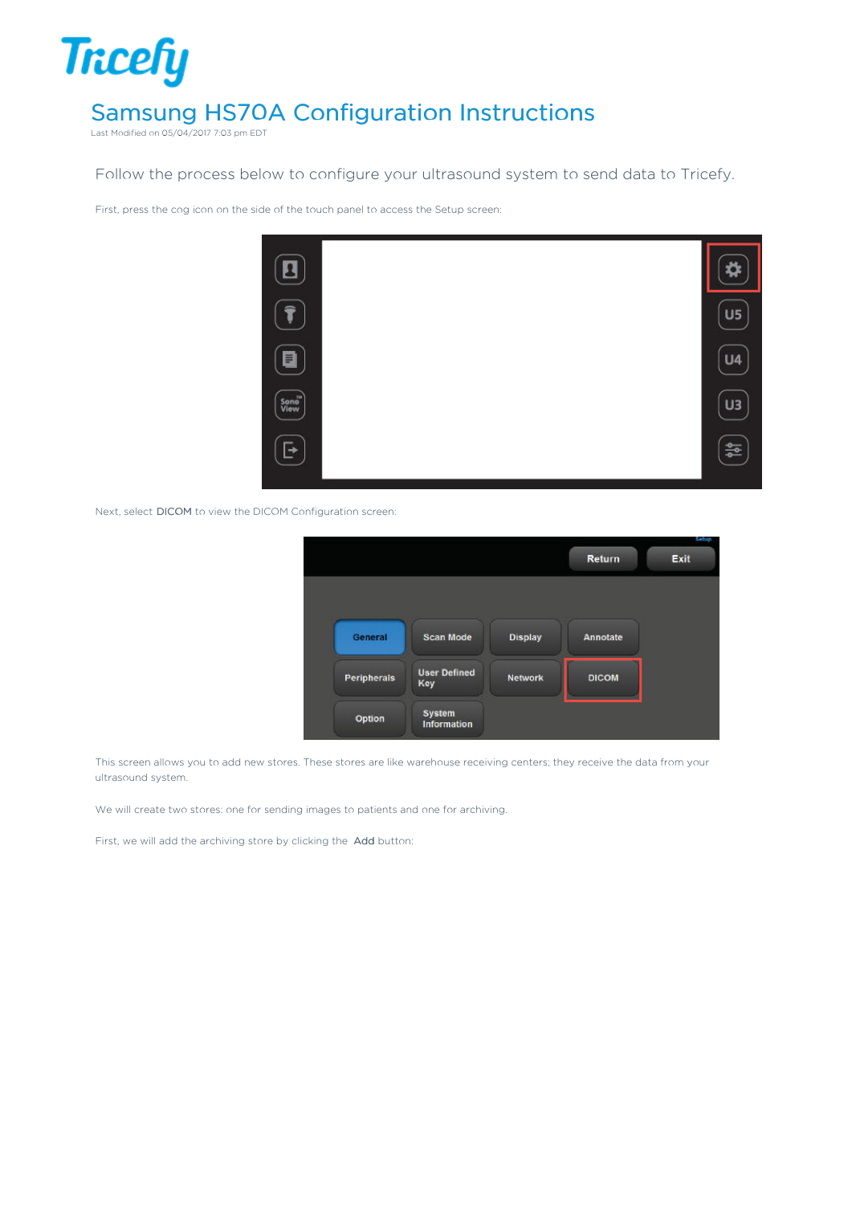## **Tricefy** Samsung HS70A Configuration Instructions

Last Modified on 05/04/2017 7:03 pm EDT

Follow the process below to configure your ultrasound system to send data to Tricefy.

First, press the cog icon on the side of the touch panel to access the Setup screen:



Next, select DICOM to view the DICOM Configuration screen:

|                    |                            |                |                 | Sehap |
|--------------------|----------------------------|----------------|-----------------|-------|
|                    |                            |                | Return          | Exit  |
|                    |                            |                |                 |       |
|                    |                            |                |                 |       |
|                    |                            |                |                 |       |
|                    |                            |                |                 |       |
| General            | <b>Scan Mode</b>           | <b>Display</b> | <b>Annotate</b> |       |
|                    |                            |                |                 |       |
|                    |                            |                |                 |       |
| <b>Peripherals</b> | <b>User Defined</b><br>Key | <b>Network</b> | <b>DICOM</b>    |       |
|                    |                            |                |                 |       |
|                    | <b>System</b>              |                |                 |       |
| Option             | <b>Information</b>         |                |                 |       |
|                    |                            |                |                 |       |

This screen allows you to add new stores. These stores are like warehouse receiving centers; they receive the data from your ultrasound system.

We will create two stores: one for sending images to patients and one for archiving.

First, we will add the archiving store by clicking the Add button: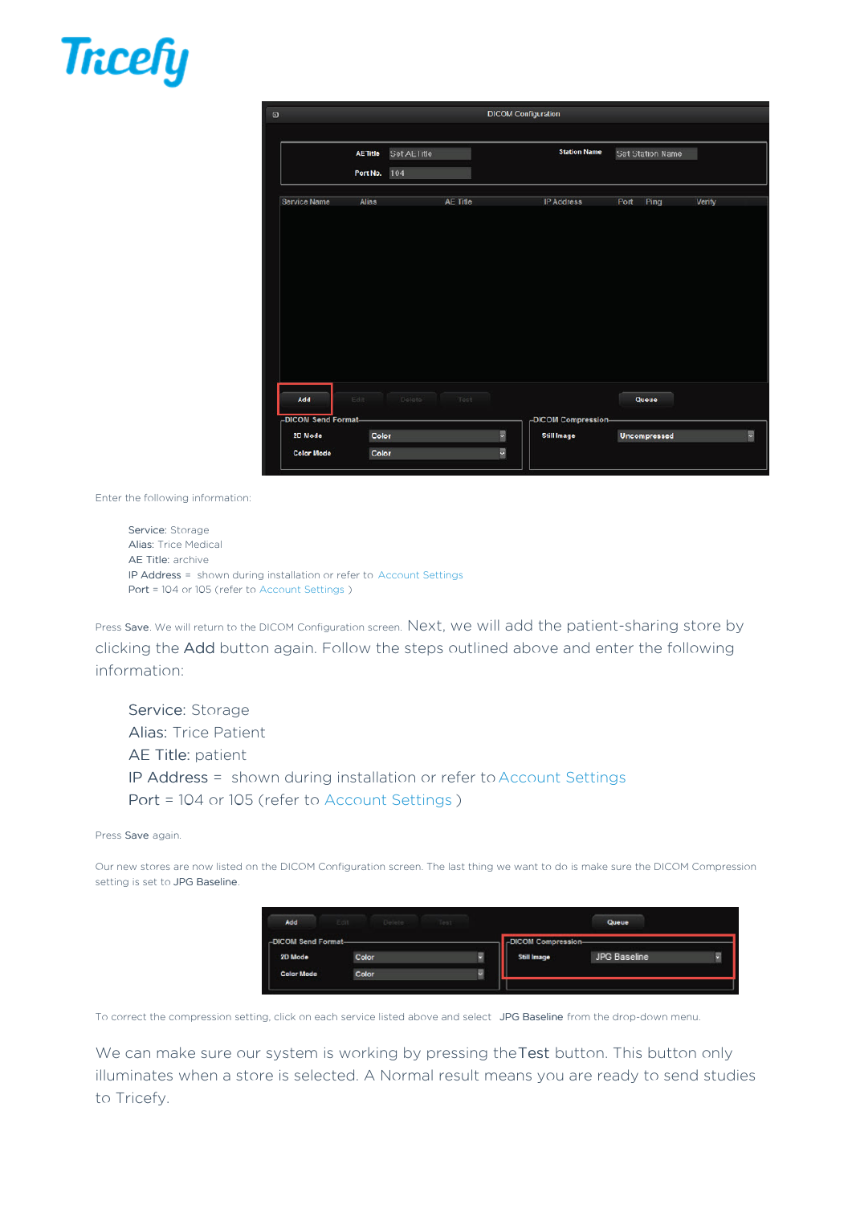



Enter the following information:

Service: Storage Alias: Trice Medical AE Title: archive IP Address = shown during installation or refer to Account Settings Port = 104 or 105 (refer to Account Settings )

Press Save. We will return to the DICOM Configuration screen. Next, we will add the patient-sharing store by clicking the Add button again. Follow the steps outlined above and enter the following information:

Service: Storage Alias: Trice Patient AE Title: patient IP Address = shown during installation or refer to Account Settings Port = 104 or 105 (refer to Account Settings )

## Press Save again.

Our new stores are now listed on the DICOM Configuration screen. The last thing we want to do is make sure the DICOM Compression setting is set to JPG Baseline.

| Add                            | Edit Delete Test |   |                                           | Queue        |  |
|--------------------------------|------------------|---|-------------------------------------------|--------------|--|
| -DICOM Send Format-<br>2D Mode | Color            | Y | -DICOM Compression-<br><b>Still Image</b> | JPG Baseline |  |
| <b>Color Mode</b>              | Color            | Y |                                           |              |  |

To correct the compression setting, click on each service listed above and select JPG Baseline from the drop-down menu.

We can make sure our system is working by pressing the Test button. This button only illuminates when a store is selected. A Normal result means you are ready to send studies to Tricefy.